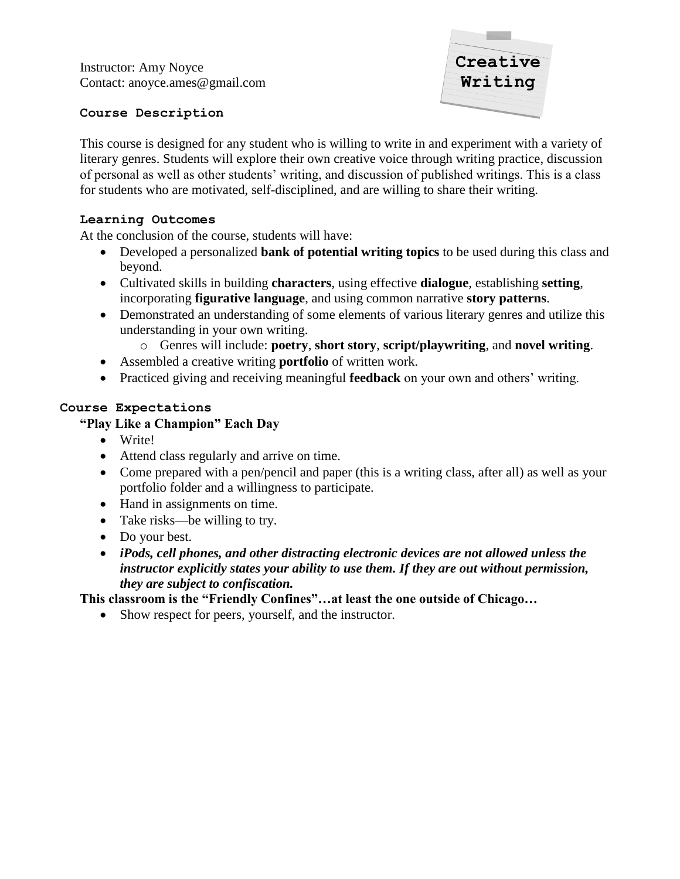

### **Course Description**

This course is designed for any student who is willing to write in and experiment with a variety of literary genres. Students will explore their own creative voice through writing practice, discussion of personal as well as other students' writing, and discussion of published writings. This is a class for students who are motivated, self-disciplined, and are willing to share their writing.

## **Learning Outcomes**

At the conclusion of the course, students will have:

- Developed a personalized **bank of potential writing topics** to be used during this class and beyond.
- Cultivated skills in building **characters**, using effective **dialogue**, establishing **setting**, incorporating **figurative language**, and using common narrative **story patterns**.
- Demonstrated an understanding of some elements of various literary genres and utilize this understanding in your own writing.
	- o Genres will include: **poetry**, **short story**, **script/playwriting**, and **novel writing**.
- Assembled a creative writing **portfolio** of written work.
- Practiced giving and receiving meaningful **feedback** on your own and others' writing.

## **Course Expectations**

# **"Play Like a Champion" Each Day**

- Write!
- Attend class regularly and arrive on time.
- Come prepared with a pen/pencil and paper (this is a writing class, after all) as well as your portfolio folder and a willingness to participate.
- Hand in assignments on time.
- Take risks—be willing to try.
- Do your best.
- *iPods, cell phones, and other distracting electronic devices are not allowed unless the instructor explicitly states your ability to use them. If they are out without permission, they are subject to confiscation.*

## **This classroom is the "Friendly Confines"…at least the one outside of Chicago…**

• Show respect for peers, yourself, and the instructor.